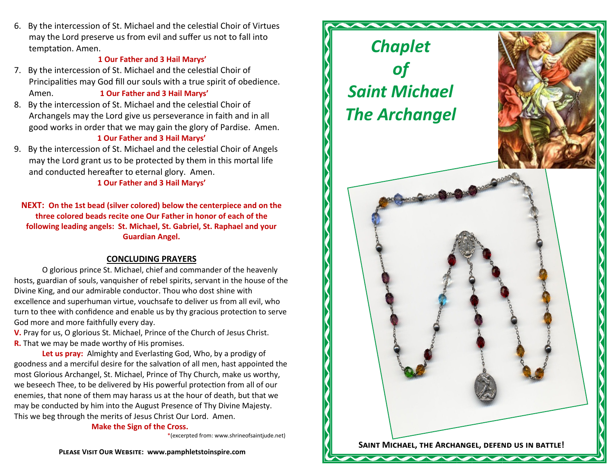6. By the intercession of St. Michael and the celestial Choir of Virtues may the Lord preserve us from evil and suffer us not to fall into temptation. Amen.

#### **1 Our Father and 3 Hail Marys'**

- 7. By the intercession of St. Michael and the celestial Choir of Principalities may God fill our souls with a true spirit of obedience. Amen. **1 Our Father and 3 Hail Marys'**
- 8. By the intercession of St. Michael and the celestial Choir of Archangels may the Lord give us perseverance in faith and in all good works in order that we may gain the glory of Pardise. Amen. **1 Our Father and 3 Hail Marys'**
- 9. By the intercession of St. Michael and the celestial Choir of Angels may the Lord grant us to be protected by them in this mortal life and conducted hereafter to eternal glory. Amen.

## **1 Our Father and 3 Hail Marys'**

**NEXT: On the 1st bead (silver colored) below the centerpiece and on the three colored beads recite one Our Father in honor of each of the following leading angels: St. Michael, St. Gabriel, St. Raphael and your Guardian Angel.**

## **CONCLUDING PRAYERS**

O glorious prince St. Michael, chief and commander of the heavenly hosts, guardian of souls, vanquisher of rebel spirits, servant in the house of the Divine King, and our admirable conductor. Thou who dost shine with excellence and superhuman virtue, vouchsafe to deliver us from all evil, who turn to thee with confidence and enable us by thy gracious protection to serve God more and more faithfully every day.

**V.** Pray for us, O glorious St. Michael, Prince of the Church of Jesus Christ. **R.** That we may be made worthy of His promises.

**Let us pray:** Almighty and Everlasting God, Who, by a prodigy of goodness and a merciful desire for the salvation of all men, hast appointed the most Glorious Archangel, St. Michael, Prince of Thy Church, make us worthy, we beseech Thee, to be delivered by His powerful protection from all of our enemies, that none of them may harass us at the hour of death, but that we may be conducted by him into the August Presence of Thy Divine Majesty. This we beg through the merits of Jesus Christ Our Lord. Amen.

#### **Make the Sign of the Cross.**

\*(excerpted from: www.shrineofsaintjude.net)